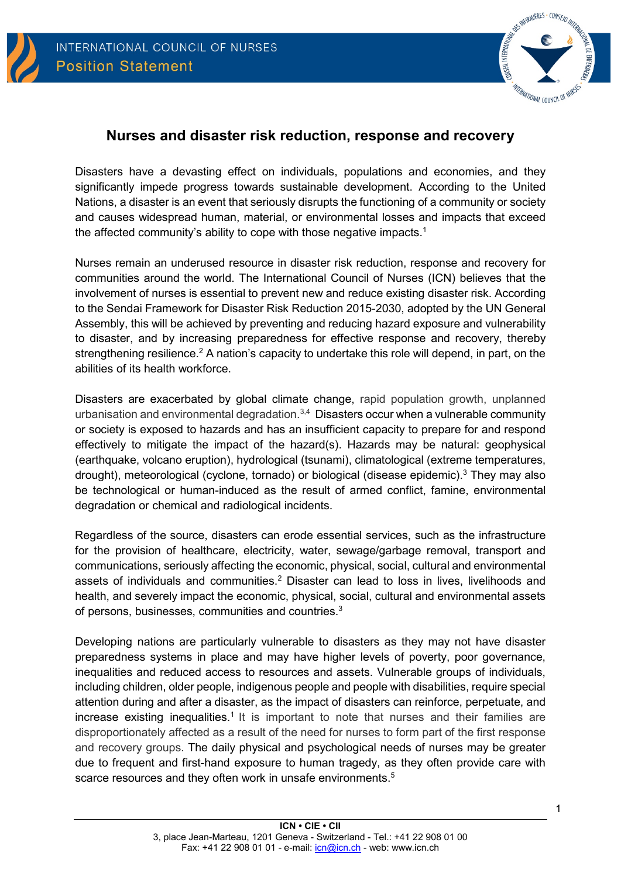



# **Nurses and disaster risk reduction, response and recovery**

Disasters have a devasting effect on individuals, populations and economies, and they significantly impede progress towards sustainable development. According to the United Nations, a disaster is an event that seriously disrupts the functioning of a community or society and causes widespread human, material, or environmental losses and impacts that exceed the affected community's ability to cope with those negative impacts. 1

Nurses remain an underused resource in disaster risk reduction, response and recovery for communities around the world. The International Council of Nurses (ICN) believes that the involvement of nurses is essential to prevent new and reduce existing disaster risk. According to the Sendai Framework for Disaster Risk Reduction 2015-2030, adopted by the UN General Assembly, this will be achieved by preventing and reducing hazard exposure and vulnerability to disaster, and by increasing preparedness for effective response and recovery, thereby strengthening resilience.<sup>2</sup> A nation's capacity to undertake this role will depend, in part, on the abilities of its health workforce.

Disasters are exacerbated by global climate change, rapid population growth, unplanned urbanisation and environmental degradation.<sup>3,4</sup> Disasters occur when a vulnerable community or society is exposed to hazards and has an insufficient capacity to prepare for and respond effectively to mitigate the impact of the hazard(s). Hazards may be natural: geophysical (earthquake, volcano eruption), hydrological (tsunami), climatological (extreme temperatures, drought), meteorological (cyclone, tornado) or biological (disease epidemic).<sup>3</sup> They may also be technological or human-induced as the result of armed conflict, famine, environmental degradation or chemical and radiological incidents.

Regardless of the source, disasters can erode essential services, such as the infrastructure for the provision of healthcare, electricity, water, sewage/garbage removal, transport and communications, seriously affecting the economic, physical, social, cultural and environmental assets of individuals and communities.2 Disaster can lead to loss in lives, livelihoods and health, and severely impact the economic, physical, social, cultural and environmental assets of persons, businesses, communities and countries.3

Developing nations are particularly vulnerable to disasters as they may not have disaster preparedness systems in place and may have higher levels of poverty, poor governance, inequalities and reduced access to resources and assets. Vulnerable groups of individuals, including children, older people, indigenous people and people with disabilities, require special attention during and after a disaster, as the impact of disasters can reinforce, perpetuate, and increase existing inequalities.<sup>1</sup> It is important to note that nurses and their families are disproportionately affected as a result of the need for nurses to form part of the first response and recovery groups. The daily physical and psychological needs of nurses may be greater due to frequent and first-hand exposure to human tragedy, as they often provide care with scarce resources and they often work in unsafe environments.<sup>5</sup>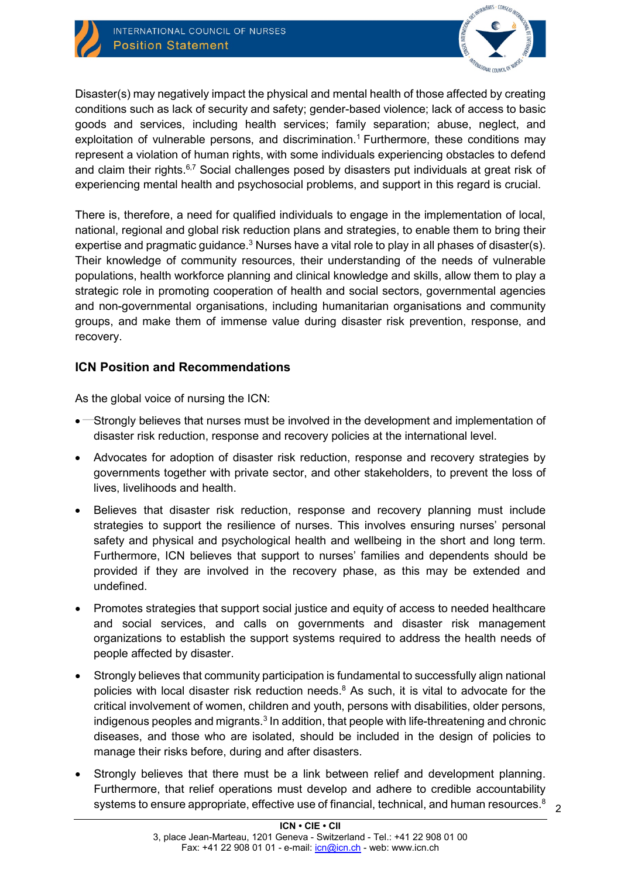

Disaster(s) may negatively impact the physical and mental health of those affected by creating conditions such as lack of security and safety; gender-based violence; lack of access to basic goods and services, including health services; family separation; abuse, neglect, and exploitation of vulnerable persons, and discrimination. <sup>1</sup> Furthermore, these conditions may represent a violation of human rights, with some individuals experiencing obstacles to defend and claim their rights.<sup>6,7</sup> Social challenges posed by disasters put individuals at great risk of experiencing mental health and psychosocial problems, and support in this regard is crucial.

There is, therefore, a need for qualified individuals to engage in the implementation of local, national, regional and global risk reduction plans and strategies, to enable them to bring their expertise and pragmatic guidance. $^3$  Nurses have a vital role to play in all phases of disaster(s). Their knowledge of community resources, their understanding of the needs of vulnerable populations, health workforce planning and clinical knowledge and skills, allow them to play a strategic role in promoting cooperation of health and social sectors, governmental agencies and non-governmental organisations, including humanitarian organisations and community groups, and make them of immense value during disaster risk prevention, response, and recovery.

## **ICN Position and Recommendations**

As the global voice of nursing the ICN:

- Strongly believes that nurses must be involved in the development and implementation of disaster risk reduction, response and recovery policies at the international level.
- Advocates for adoption of disaster risk reduction, response and recovery strategies by governments together with private sector, and other stakeholders, to prevent the loss of lives, livelihoods and health.
- Believes that disaster risk reduction, response and recovery planning must include strategies to support the resilience of nurses. This involves ensuring nurses' personal safety and physical and psychological health and wellbeing in the short and long term. Furthermore, ICN believes that support to nurses' families and dependents should be provided if they are involved in the recovery phase, as this may be extended and undefined.
- Promotes strategies that support social justice and equity of access to needed healthcare and social services, and calls on governments and disaster risk management organizations to establish the support systems required to address the health needs of people affected by disaster.
- Strongly believes that community participation is fundamental to successfully align national policies with local disaster risk reduction needs. <sup>8</sup> As such, it is vital to advocate for the critical involvement of women, children and youth, persons with disabilities, older persons, indigenous peoples and migrants.<sup>3</sup> In addition, that people with life-threatening and chronic diseases, and those who are isolated, should be included in the design of policies to manage their risks before, during and after disasters.
- Strongly believes that there must be a link between relief and development planning. Furthermore, that relief operations must develop and adhere to credible accountability systems to ensure appropriate, effective use of financial, technical, and human resources. $^8$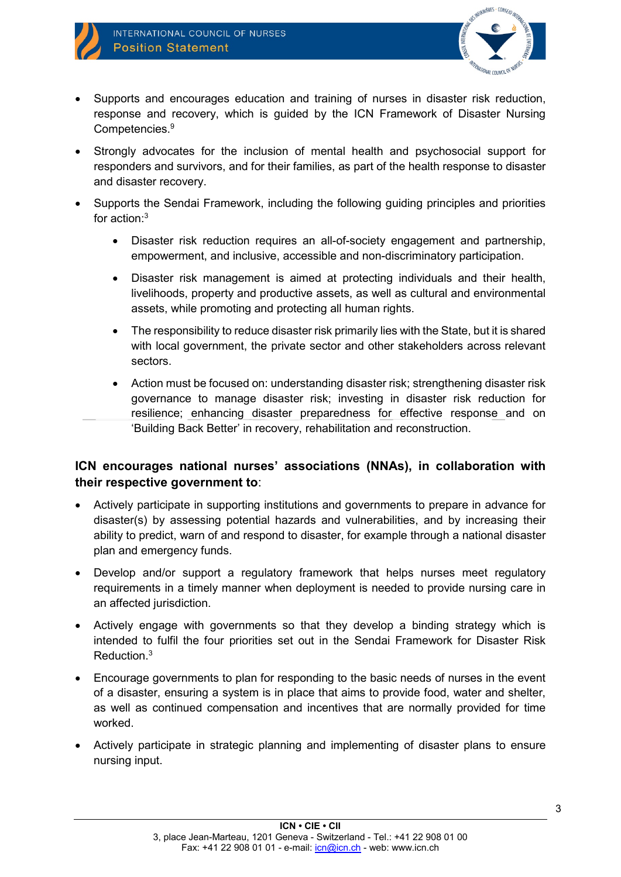

- Supports and encourages education and training of nurses in disaster risk reduction, response and recovery, which is guided by the ICN Framework of Disaster Nursing Competencies. 9
- Strongly advocates for the inclusion of mental health and psychosocial support for responders and survivors, and for their families, as part of the health response to disaster and disaster recovery.
- Supports the Sendai Framework, including the following guiding principles and priorities for action: 3
	- Disaster risk reduction requires an all-of-society engagement and partnership, empowerment, and inclusive, accessible and non-discriminatory participation.
	- Disaster risk management is aimed at protecting individuals and their health, livelihoods, property and productive assets, as well as cultural and environmental assets, while promoting and protecting all human rights.
	- The responsibility to reduce disaster risk primarily lies with the State, but it is shared with local government, the private sector and other stakeholders across relevant sectors.
	- Action must be focused on: understanding disaster risk; strengthening disaster risk governance to manage disaster risk; investing in disaster risk reduction for resilience; enhancing disaster preparedness for effective response and on 'Building Back Better' in recovery, rehabilitation and reconstruction.

# **ICN encourages national nurses' associations (NNAs), in collaboration with their respective government to**:

- Actively participate in supporting institutions and governments to prepare in advance for disaster(s) by assessing potential hazards and vulnerabilities, and by increasing their ability to predict, warn of and respond to disaster, for example through a national disaster plan and emergency funds.
- Develop and/or support a regulatory framework that helps nurses meet regulatory requirements in a timely manner when deployment is needed to provide nursing care in an affected jurisdiction.
- Actively engage with governments so that they develop a binding strategy which is intended to fulfil the four priorities set out in the Sendai Framework for Disaster Risk Reduction. 3
- Encourage governments to plan for responding to the basic needs of nurses in the event of a disaster, ensuring a system is in place that aims to provide food, water and shelter, as well as continued compensation and incentives that are normally provided for time worked.
- Actively participate in strategic planning and implementing of disaster plans to ensure nursing input.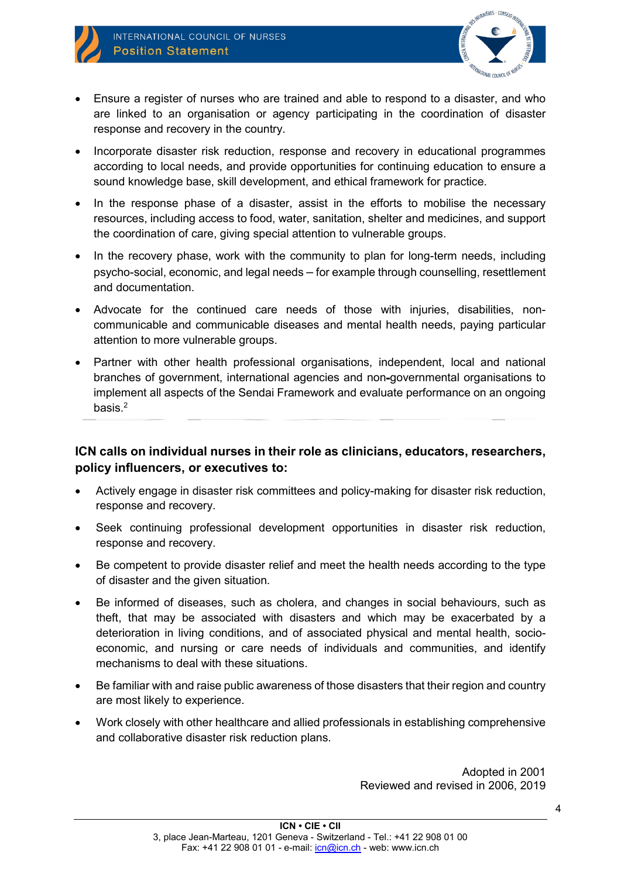

- Ensure a register of nurses who are trained and able to respond to a disaster, and who are linked to an organisation or agency participating in the coordination of disaster response and recovery in the country.
- Incorporate disaster risk reduction, response and recovery in educational programmes according to local needs, and provide opportunities for continuing education to ensure a sound knowledge base, skill development, and ethical framework for practice.
- In the response phase of a disaster, assist in the efforts to mobilise the necessary resources, including access to food, water, sanitation, shelter and medicines, and support the coordination of care, giving special attention to vulnerable groups.
- In the recovery phase, work with the community to plan for long-term needs, including psycho-social, economic, and legal needs – for example through counselling, resettlement and documentation.
- Advocate for the continued care needs of those with injuries, disabilities, noncommunicable and communicable diseases and mental health needs, paying particular attention to more vulnerable groups.
- Partner with other health professional organisations, independent, local and national branches of government, international agencies and non governmental organisations to implement all aspects of the Sendai Framework and evaluate performance on an ongoing basis. 2

## **ICN calls on individual nurses in their role as clinicians, educators, researchers, policy influencers, or executives to:**

- Actively engage in disaster risk committees and policy-making for disaster risk reduction, response and recovery.
- Seek continuing professional development opportunities in disaster risk reduction, response and recovery.
- Be competent to provide disaster relief and meet the health needs according to the type of disaster and the given situation.
- Be informed of diseases, such as cholera, and changes in social behaviours, such as theft, that may be associated with disasters and which may be exacerbated by a deterioration in living conditions, and of associated physical and mental health, socioeconomic, and nursing or care needs of individuals and communities, and identify mechanisms to deal with these situations.
- Be familiar with and raise public awareness of those disasters that their region and country are most likely to experience.
- Work closely with other healthcare and allied professionals in establishing comprehensive and collaborative disaster risk reduction plans.

Adopted in 2001 Reviewed and revised in 2006, 2019